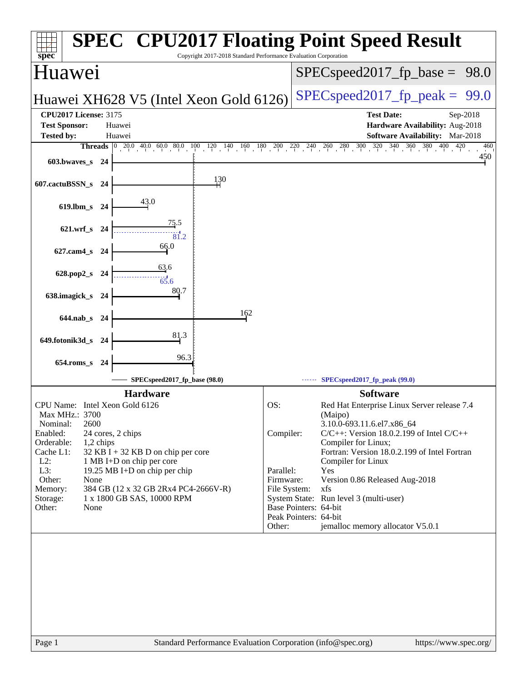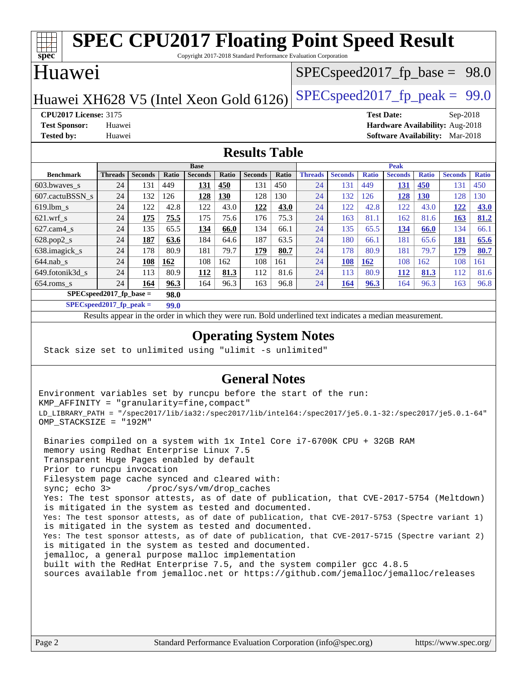| <b>SPEC CPU2017 Floating Point Speed Result</b>                            |                |                |       |                |       |                                  |       |                |                |              |                |              |                |              |
|----------------------------------------------------------------------------|----------------|----------------|-------|----------------|-------|----------------------------------|-------|----------------|----------------|--------------|----------------|--------------|----------------|--------------|
| spec<br>Copyright 2017-2018 Standard Performance Evaluation Corporation    |                |                |       |                |       |                                  |       |                |                |              |                |              |                |              |
| Huawei                                                                     |                |                |       |                |       | $SPEC speed2017_fp\_base = 98.0$ |       |                |                |              |                |              |                |              |
|                                                                            |                |                |       |                |       |                                  |       |                |                |              |                |              |                |              |
| $SPEC speed2017_fp\_peak = 99.0$<br>Huawei XH628 V5 (Intel Xeon Gold 6126) |                |                |       |                |       |                                  |       |                |                |              |                |              |                |              |
| <b>CPU2017 License: 3175</b><br><b>Test Date:</b><br>Sep-2018              |                |                |       |                |       |                                  |       |                |                |              |                |              |                |              |
| Hardware Availability: Aug-2018<br><b>Test Sponsor:</b><br>Huawei          |                |                |       |                |       |                                  |       |                |                |              |                |              |                |              |
| <b>Tested by:</b><br><b>Software Availability:</b><br>Huawei<br>Mar-2018   |                |                |       |                |       |                                  |       |                |                |              |                |              |                |              |
| <b>Results Table</b>                                                       |                |                |       |                |       |                                  |       |                |                |              |                |              |                |              |
|                                                                            |                |                |       |                |       |                                  |       |                |                |              |                |              |                |              |
|                                                                            |                |                |       | <b>Base</b>    |       |                                  |       | <b>Peak</b>    |                |              |                |              |                |              |
| <b>Benchmark</b>                                                           | <b>Threads</b> | <b>Seconds</b> | Ratio | <b>Seconds</b> | Ratio | <b>Seconds</b>                   | Ratio | <b>Threads</b> | <b>Seconds</b> | <b>Ratio</b> | <b>Seconds</b> | <b>Ratio</b> | <b>Seconds</b> | <b>Ratio</b> |
| 603.bwaves_s                                                               | 24             | 131            | 449   | 131            | 450   | 131                              | 450   | 24             | 131            | 449          | 131            | 450          | 131            | 450          |
| 607.cactuBSSN s                                                            | 24             | 132            | 126   | 128            | 130   | 128                              | 130   | 24             | 132            | 126          | 128            | <b>130</b>   | 128            | 130          |
| $619.1$ bm s                                                               | 24             | 122            | 42.8  | 122            | 43.0  | 122                              | 43.0  | 24             | 122            | 42.8         | 122            | 43.0         | 122            | 43.0         |
| $621$ .wrf s                                                               | 24             | 175            | 75.5  | 175            | 75.6  | 176                              | 75.3  | 24             | 163            | 81.1         | 162            | 81.6         | 163            | 81.2         |
| $627$ .cam $4 \text{ s}$                                                   | 24             | 135            | 65.5  | 134            | 66.0  | 134                              | 66.1  | 24             | 135            | 65.5         | 134            | 66.0         | 134            | 66.1         |
| 628.pop2_s                                                                 | 24             | 187            | 63.6  | 184            | 64.6  | 187                              | 63.5  | 24             | 180            | 66.1         | 181            | 65.6         | 181            | 65.6         |
| 638.imagick_s                                                              | 24             | 178            | 80.9  | 181            | 79.7  | 179                              | 80.7  | 24             | 178            | 80.9         | 181            | 79.7         | 179            | 80.7         |
| $644$ .nab s                                                               | 24             | 108            | 162   | 108            | 162   | 108                              | 161   | 24             | 108            | <b>162</b>   | 108            | 162          | 108            | 161          |
| 649.fotonik3d_s                                                            | 24             | 113            | 80.9  | 112            | 81.3  | 112                              | 81.6  | 24             | 113            | 80.9         | <b>112</b>     | 81.3         | 112            | 81.6         |
| $654$ .roms s                                                              | 24             | 164            | 96.3  | 164            | 96.3  | 163                              | 96.8  | 24             | 164            | 96.3         | 164            | 96.3         | 163            | 96.8         |
| $SPECspeed2017_fp\_base =$<br>98.0                                         |                |                |       |                |       |                                  |       |                |                |              |                |              |                |              |
| $SPECspeed2017$ fp peak =<br>99.0                                          |                |                |       |                |       |                                  |       |                |                |              |                |              |                |              |

Results appear in the [order in which they were run.](http://www.spec.org/auto/cpu2017/Docs/result-fields.html#RunOrder) Bold underlined text [indicates a median measurement](http://www.spec.org/auto/cpu2017/Docs/result-fields.html#Median).

### **[Operating System Notes](http://www.spec.org/auto/cpu2017/Docs/result-fields.html#OperatingSystemNotes)**

Stack size set to unlimited using "ulimit -s unlimited"

### **[General Notes](http://www.spec.org/auto/cpu2017/Docs/result-fields.html#GeneralNotes)**

Environment variables set by runcpu before the start of the run: KMP\_AFFINITY = "granularity=fine,compact" LD\_LIBRARY\_PATH = "/spec2017/lib/ia32:/spec2017/lib/intel64:/spec2017/je5.0.1-32:/spec2017/je5.0.1-64" OMP\_STACKSIZE = "192M"

 Binaries compiled on a system with 1x Intel Core i7-6700K CPU + 32GB RAM memory using Redhat Enterprise Linux 7.5 Transparent Huge Pages enabled by default Prior to runcpu invocation Filesystem page cache synced and cleared with: sync; echo 3> /proc/sys/vm/drop\_caches Yes: The test sponsor attests, as of date of publication, that CVE-2017-5754 (Meltdown) is mitigated in the system as tested and documented. Yes: The test sponsor attests, as of date of publication, that CVE-2017-5753 (Spectre variant 1) is mitigated in the system as tested and documented. Yes: The test sponsor attests, as of date of publication, that CVE-2017-5715 (Spectre variant 2) is mitigated in the system as tested and documented. jemalloc, a general purpose malloc implementation built with the RedHat Enterprise 7.5, and the system compiler gcc 4.8.5 sources available from jemalloc.net or <https://github.com/jemalloc/jemalloc/releases>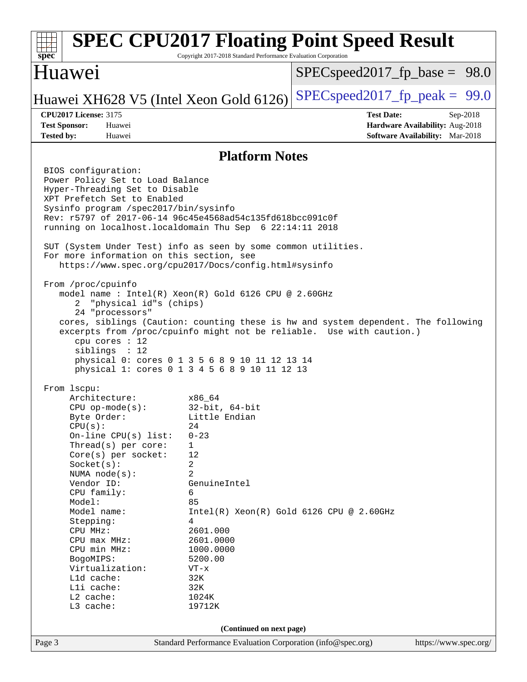#### Page 3 Standard Performance Evaluation Corporation [\(info@spec.org\)](mailto:info@spec.org) <https://www.spec.org/> **[spec](http://www.spec.org/) [SPEC CPU2017 Floating Point Speed Result](http://www.spec.org/auto/cpu2017/Docs/result-fields.html#SPECCPU2017FloatingPointSpeedResult)** Copyright 2017-2018 Standard Performance Evaluation Corporation Huawei Huawei XH628 V5 (Intel Xeon Gold 6126) SPECspeed 2017 fp peak =  $99.0$  $SPECspeed2017_fp\_base = 98.0$ **[CPU2017 License:](http://www.spec.org/auto/cpu2017/Docs/result-fields.html#CPU2017License)** 3175 **[Test Date:](http://www.spec.org/auto/cpu2017/Docs/result-fields.html#TestDate)** Sep-2018 **[Test Sponsor:](http://www.spec.org/auto/cpu2017/Docs/result-fields.html#TestSponsor)** Huawei **[Hardware Availability:](http://www.spec.org/auto/cpu2017/Docs/result-fields.html#HardwareAvailability)** Aug-2018 **[Tested by:](http://www.spec.org/auto/cpu2017/Docs/result-fields.html#Testedby)** Huawei **[Software Availability:](http://www.spec.org/auto/cpu2017/Docs/result-fields.html#SoftwareAvailability)** Mar-2018 **[Platform Notes](http://www.spec.org/auto/cpu2017/Docs/result-fields.html#PlatformNotes)** BIOS configuration: Power Policy Set to Load Balance Hyper-Threading Set to Disable XPT Prefetch Set to Enabled Sysinfo program /spec2017/bin/sysinfo Rev: r5797 of 2017-06-14 96c45e4568ad54c135fd618bcc091c0f running on localhost.localdomain Thu Sep 6 22:14:11 2018 SUT (System Under Test) info as seen by some common utilities. For more information on this section, see <https://www.spec.org/cpu2017/Docs/config.html#sysinfo> From /proc/cpuinfo model name : Intel(R) Xeon(R) Gold 6126 CPU @ 2.60GHz 2 "physical id"s (chips) 24 "processors" cores, siblings (Caution: counting these is hw and system dependent. The following excerpts from /proc/cpuinfo might not be reliable. Use with caution.) cpu cores : 12 siblings : 12 physical 0: cores 0 1 3 5 6 8 9 10 11 12 13 14 physical 1: cores 0 1 3 4 5 6 8 9 10 11 12 13 From lscpu: Architecture: x86\_64 CPU op-mode(s): 32-bit, 64-bit Byte Order: Little Endian  $CPU(s):$  24 On-line CPU(s) list: 0-23 Thread(s) per core: 1 Core(s) per socket: 12 Socket(s): 2 NUMA node(s): 2 Vendor ID: GenuineIntel CPU family: 6 Model: 85 Model name: Intel(R) Xeon(R) Gold 6126 CPU @ 2.60GHz Stepping: 4 CPU MHz: 2601.000 CPU max MHz: 2601.0000 CPU min MHz: 1000.0000 BogoMIPS: 5200.00 Virtualization: VT-x L1d cache: 32K L1i cache: 32K L2 cache: 1024K L3 cache: 19712K **(Continued on next page)**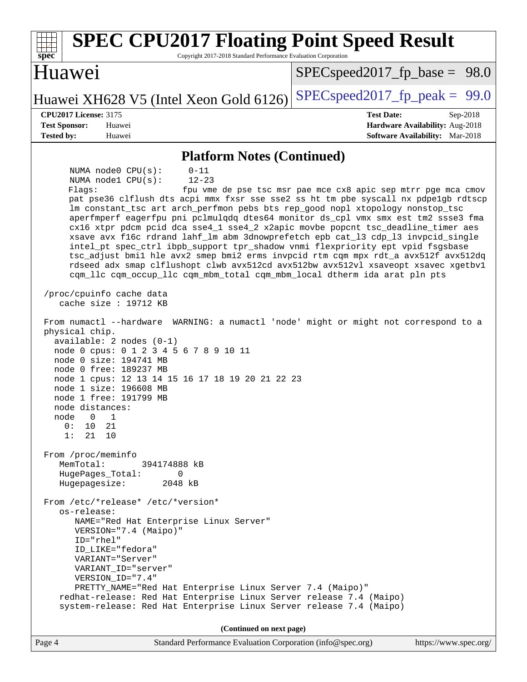| <b>SPEC CPU2017 Floating Point Speed Result</b><br>Copyright 2017-2018 Standard Performance Evaluation Corporation<br>spec <sup>®</sup>                                                                                                                                                                                                                                                                                                                                                                                                                                                                                                                                                                                                                                                                                                                                                                                                                                               |                                                               |  |  |  |  |  |  |
|---------------------------------------------------------------------------------------------------------------------------------------------------------------------------------------------------------------------------------------------------------------------------------------------------------------------------------------------------------------------------------------------------------------------------------------------------------------------------------------------------------------------------------------------------------------------------------------------------------------------------------------------------------------------------------------------------------------------------------------------------------------------------------------------------------------------------------------------------------------------------------------------------------------------------------------------------------------------------------------|---------------------------------------------------------------|--|--|--|--|--|--|
| Huawei                                                                                                                                                                                                                                                                                                                                                                                                                                                                                                                                                                                                                                                                                                                                                                                                                                                                                                                                                                                | $SPEC speed2017_f p\_base = 98.0$                             |  |  |  |  |  |  |
| Huawei XH628 V5 (Intel Xeon Gold 6126)                                                                                                                                                                                                                                                                                                                                                                                                                                                                                                                                                                                                                                                                                                                                                                                                                                                                                                                                                | $SPEC speed2017_fp\_peak = 99.0$                              |  |  |  |  |  |  |
| <b>CPU2017 License: 3175</b>                                                                                                                                                                                                                                                                                                                                                                                                                                                                                                                                                                                                                                                                                                                                                                                                                                                                                                                                                          | <b>Test Date:</b><br>Sep-2018                                 |  |  |  |  |  |  |
| <b>Test Sponsor:</b><br>Huawei                                                                                                                                                                                                                                                                                                                                                                                                                                                                                                                                                                                                                                                                                                                                                                                                                                                                                                                                                        | Hardware Availability: Aug-2018                               |  |  |  |  |  |  |
| <b>Tested by:</b><br>Huawei                                                                                                                                                                                                                                                                                                                                                                                                                                                                                                                                                                                                                                                                                                                                                                                                                                                                                                                                                           | <b>Software Availability:</b> Mar-2018                        |  |  |  |  |  |  |
| <b>Platform Notes (Continued)</b>                                                                                                                                                                                                                                                                                                                                                                                                                                                                                                                                                                                                                                                                                                                                                                                                                                                                                                                                                     |                                                               |  |  |  |  |  |  |
| $0 - 11$<br>NUMA $node0$ $CPU(s)$ :<br>NUMA nodel CPU(s):<br>$12 - 23$<br>Flagg:<br>pat pse36 clflush dts acpi mmx fxsr sse sse2 ss ht tm pbe syscall nx pdpelgb rdtscp<br>lm constant_tsc art arch_perfmon pebs bts rep_good nopl xtopology nonstop_tsc<br>aperfmperf eagerfpu pni pclmulqdq dtes64 monitor ds_cpl vmx smx est tm2 ssse3 fma<br>cx16 xtpr pdcm pcid dca sse4_1 sse4_2 x2apic movbe popcnt tsc_deadline_timer aes<br>xsave avx f16c rdrand lahf_lm abm 3dnowprefetch epb cat_13 cdp_13 invpcid_single<br>intel_pt spec_ctrl ibpb_support tpr_shadow vnmi flexpriority ept vpid fsgsbase<br>tsc_adjust bmil hle avx2 smep bmi2 erms invpcid rtm cqm mpx rdt_a avx512f avx512dq<br>rdseed adx smap clflushopt clwb avx512cd avx512bw avx512vl xsaveopt xsavec xgetbvl<br>cqm_llc cqm_occup_llc cqm_mbm_total cqm_mbm_local dtherm ida arat pln pts<br>/proc/cpuinfo cache data<br>cache size : $19712$ KB                                                               | fpu vme de pse tsc msr pae mce cx8 apic sep mtrr pge mca cmov |  |  |  |  |  |  |
| From numactl --hardware WARNING: a numactl 'node' might or might not correspond to a<br>physical chip.<br>$available: 2 nodes (0-1)$<br>node 0 cpus: 0 1 2 3 4 5 6 7 8 9 10 11<br>node 0 size: 194741 MB<br>node 0 free: 189237 MB<br>node 1 cpus: 12 13 14 15 16 17 18 19 20 21 22 23<br>node 1 size: 196608 MB<br>node 1 free: 191799 MB<br>node distances:<br>node<br>$\overline{0}$<br>$\overline{1}$<br>0:<br>10 21<br>1:<br>21<br>10<br>From /proc/meminfo<br>MemTotal:<br>394174888 kB<br>HugePages_Total:<br>0<br>Hugepagesize:<br>2048 kB<br>From /etc/*release* /etc/*version*<br>os-release:<br>NAME="Red Hat Enterprise Linux Server"<br>VERSION="7.4 (Maipo)"<br>ID="rhel"<br>ID_LIKE="fedora"<br>VARIANT="Server"<br>VARIANT ID="server"<br>VERSION_ID="7.4"<br>PRETTY_NAME="Red Hat Enterprise Linux Server 7.4 (Maipo)"<br>redhat-release: Red Hat Enterprise Linux Server release 7.4 (Maipo)<br>system-release: Red Hat Enterprise Linux Server release 7.4 (Maipo) |                                                               |  |  |  |  |  |  |
| (Continued on next page)                                                                                                                                                                                                                                                                                                                                                                                                                                                                                                                                                                                                                                                                                                                                                                                                                                                                                                                                                              |                                                               |  |  |  |  |  |  |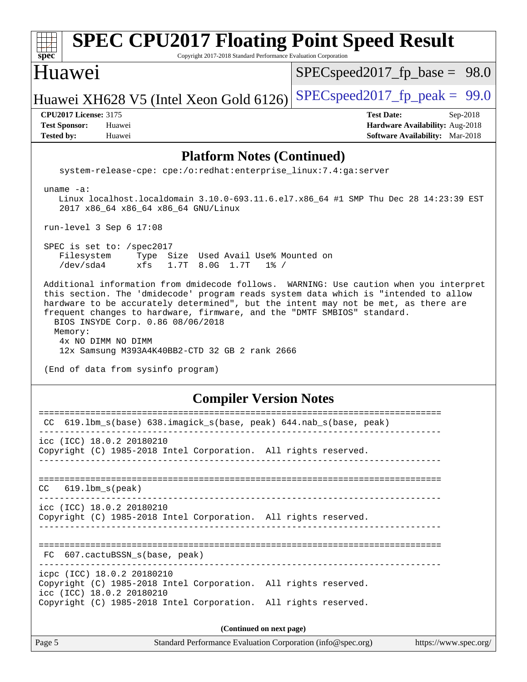| <b>SPEC CPU2017 Floating Point Speed Result</b><br>$spec^*$<br>Copyright 2017-2018 Standard Performance Evaluation Corporation                                                                                                                                                                                                                                                                                                                                                                               |                                                                                  |  |  |  |  |  |  |
|--------------------------------------------------------------------------------------------------------------------------------------------------------------------------------------------------------------------------------------------------------------------------------------------------------------------------------------------------------------------------------------------------------------------------------------------------------------------------------------------------------------|----------------------------------------------------------------------------------|--|--|--|--|--|--|
| Huawei                                                                                                                                                                                                                                                                                                                                                                                                                                                                                                       | $SPEC speed2017_f p\_base = 98.0$                                                |  |  |  |  |  |  |
| Huawei XH628 V5 (Intel Xeon Gold 6126)                                                                                                                                                                                                                                                                                                                                                                                                                                                                       | $SPEC speed2017_fp\_peak = 99.0$                                                 |  |  |  |  |  |  |
| <b>CPU2017 License: 3175</b>                                                                                                                                                                                                                                                                                                                                                                                                                                                                                 | <b>Test Date:</b><br>Sep-2018                                                    |  |  |  |  |  |  |
| <b>Test Sponsor:</b><br>Huawei<br><b>Tested by:</b><br>Huawei                                                                                                                                                                                                                                                                                                                                                                                                                                                | <b>Hardware Availability: Aug-2018</b><br><b>Software Availability:</b> Mar-2018 |  |  |  |  |  |  |
| <b>Platform Notes (Continued)</b>                                                                                                                                                                                                                                                                                                                                                                                                                                                                            |                                                                                  |  |  |  |  |  |  |
| system-release-cpe: cpe:/o:redhat:enterprise_linux:7.4:ga:server                                                                                                                                                                                                                                                                                                                                                                                                                                             |                                                                                  |  |  |  |  |  |  |
| uname $-a$ :<br>Linux localhost.localdomain 3.10.0-693.11.6.el7.x86_64 #1 SMP Thu Dec 28 14:23:39 EST<br>2017 x86_64 x86_64 x86_64 GNU/Linux                                                                                                                                                                                                                                                                                                                                                                 |                                                                                  |  |  |  |  |  |  |
| run-level 3 Sep $6$ 17:08                                                                                                                                                                                                                                                                                                                                                                                                                                                                                    |                                                                                  |  |  |  |  |  |  |
| SPEC is set to: /spec2017<br>Filesystem<br>Type Size Used Avail Use% Mounted on<br>/dev/sda4<br>xfs<br>1.7T 8.0G 1.7T<br>$1\%$ /                                                                                                                                                                                                                                                                                                                                                                             |                                                                                  |  |  |  |  |  |  |
| Additional information from dmidecode follows. WARNING: Use caution when you interpret<br>this section. The 'dmidecode' program reads system data which is "intended to allow<br>hardware to be accurately determined", but the intent may not be met, as there are<br>frequent changes to hardware, firmware, and the "DMTF SMBIOS" standard.<br>BIOS INSYDE Corp. 0.86 08/06/2018<br>Memory:<br>4x NO DIMM NO DIMM<br>12x Samsung M393A4K40BB2-CTD 32 GB 2 rank 2666<br>(End of data from sysinfo program) |                                                                                  |  |  |  |  |  |  |
| <b>Compiler Version Notes</b>                                                                                                                                                                                                                                                                                                                                                                                                                                                                                |                                                                                  |  |  |  |  |  |  |
| CC 619.1bm_s(base) 638.imagick_s(base, peak) 644.nab_s(base, peak)                                                                                                                                                                                                                                                                                                                                                                                                                                           |                                                                                  |  |  |  |  |  |  |
| icc (ICC) 18.0.2 20180210<br>Copyright (C) 1985-2018 Intel Corporation. All rights reserved.                                                                                                                                                                                                                                                                                                                                                                                                                 |                                                                                  |  |  |  |  |  |  |
| $619.1$ bm_s(peak)<br>CC.                                                                                                                                                                                                                                                                                                                                                                                                                                                                                    |                                                                                  |  |  |  |  |  |  |
| icc (ICC) 18.0.2 20180210<br>Copyright (C) 1985-2018 Intel Corporation. All rights reserved.                                                                                                                                                                                                                                                                                                                                                                                                                 |                                                                                  |  |  |  |  |  |  |
| FC 607.cactuBSSN_s(base, peak)<br>-------------------------------                                                                                                                                                                                                                                                                                                                                                                                                                                            |                                                                                  |  |  |  |  |  |  |
| icpc (ICC) 18.0.2 20180210<br>Copyright (C) 1985-2018 Intel Corporation. All rights reserved.<br>icc (ICC) 18.0.2 20180210<br>Copyright (C) 1985-2018 Intel Corporation. All rights reserved.                                                                                                                                                                                                                                                                                                                |                                                                                  |  |  |  |  |  |  |
|                                                                                                                                                                                                                                                                                                                                                                                                                                                                                                              |                                                                                  |  |  |  |  |  |  |
| (Continued on next page)                                                                                                                                                                                                                                                                                                                                                                                                                                                                                     |                                                                                  |  |  |  |  |  |  |
| Page 5<br>Standard Performance Evaluation Corporation (info@spec.org)                                                                                                                                                                                                                                                                                                                                                                                                                                        | https://www.spec.org/                                                            |  |  |  |  |  |  |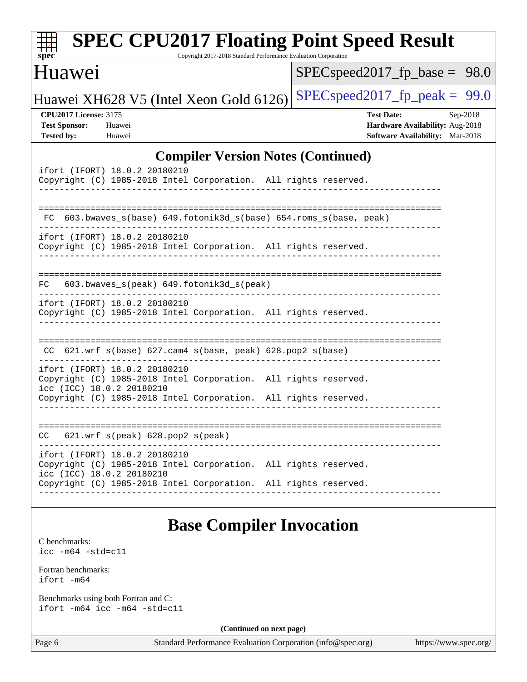| $spec^*$                                                                  | <b>SPEC CPU2017 Floating Point Speed Result</b>                                                                                                                                                  | Copyright 2017-2018 Standard Performance Evaluation Corporation |                                                             |                                                                                         |                       |
|---------------------------------------------------------------------------|--------------------------------------------------------------------------------------------------------------------------------------------------------------------------------------------------|-----------------------------------------------------------------|-------------------------------------------------------------|-----------------------------------------------------------------------------------------|-----------------------|
| Huawei                                                                    |                                                                                                                                                                                                  |                                                                 |                                                             | $SPEC speed2017_fp\_base =$                                                             | 98.0                  |
|                                                                           | Huawei XH628 V5 (Intel Xeon Gold 6126)                                                                                                                                                           |                                                                 |                                                             | $SPEC speed2017_fp\_peak = 99.0$                                                        |                       |
| <b>CPU2017 License: 3175</b><br><b>Test Sponsor:</b><br><b>Tested by:</b> | Huawei<br>Huawei                                                                                                                                                                                 |                                                                 |                                                             | <b>Test Date:</b><br>Hardware Availability: Aug-2018<br>Software Availability: Mar-2018 | Sep-2018              |
|                                                                           |                                                                                                                                                                                                  |                                                                 | <b>Compiler Version Notes (Continued)</b>                   |                                                                                         |                       |
|                                                                           | ifort (IFORT) 18.0.2 20180210<br>Copyright (C) 1985-2018 Intel Corporation. All rights reserved.                                                                                                 |                                                                 |                                                             |                                                                                         |                       |
| FC.                                                                       | 603.bwaves_s(base)        649.fotonik3d_s(base)        654.roms_s(base, peak)                                                                                                                    |                                                                 |                                                             |                                                                                         |                       |
|                                                                           | ifort (IFORT) 18.0.2 20180210<br>Copyright (C) 1985-2018 Intel Corporation. All rights reserved.                                                                                                 |                                                                 |                                                             |                                                                                         |                       |
| FC.                                                                       | 603.bwaves_s(peak) 649.fotonik3d_s(peak)                                                                                                                                                         |                                                                 |                                                             |                                                                                         |                       |
|                                                                           | ifort (IFORT) 18.0.2 20180210<br>Copyright (C) 1985-2018 Intel Corporation. All rights reserved.                                                                                                 |                                                                 |                                                             |                                                                                         |                       |
| CC.                                                                       |                                                                                                                                                                                                  |                                                                 |                                                             |                                                                                         |                       |
|                                                                           | ifort (IFORT) 18.0.2 20180210<br>Copyright (C) 1985-2018 Intel Corporation. All rights reserved.<br>icc (ICC) 18.0.2 20180210<br>Copyright (C) 1985-2018 Intel Corporation. All rights reserved. |                                                                 |                                                             |                                                                                         |                       |
|                                                                           |                                                                                                                                                                                                  |                                                                 |                                                             |                                                                                         |                       |
| CC                                                                        | $621.wrf_s(peak)$ $628.pop2_s(peak)$                                                                                                                                                             |                                                                 |                                                             |                                                                                         |                       |
|                                                                           | ifort (IFORT) 18.0.2 20180210<br>Copyright (C) 1985-2018 Intel Corporation. All rights reserved.<br>icc (ICC) 18.0.2 20180210                                                                    |                                                                 |                                                             |                                                                                         |                       |
|                                                                           | Copyright (C) 1985-2018 Intel Corporation. All rights reserved.                                                                                                                                  |                                                                 |                                                             |                                                                                         |                       |
|                                                                           |                                                                                                                                                                                                  | <b>Base Compiler Invocation</b>                                 |                                                             |                                                                                         |                       |
| C benchmarks:<br>$\text{icc}$ -m64 -std=c11                               |                                                                                                                                                                                                  |                                                                 |                                                             |                                                                                         |                       |
| Fortran benchmarks:<br>ifort -m64                                         |                                                                                                                                                                                                  |                                                                 |                                                             |                                                                                         |                       |
|                                                                           | Benchmarks using both Fortran and C:<br>ifort -m64 icc -m64 -std=c11                                                                                                                             |                                                                 |                                                             |                                                                                         |                       |
|                                                                           |                                                                                                                                                                                                  | (Continued on next page)                                        |                                                             |                                                                                         |                       |
| Page 6                                                                    |                                                                                                                                                                                                  |                                                                 | Standard Performance Evaluation Corporation (info@spec.org) |                                                                                         | https://www.spec.org/ |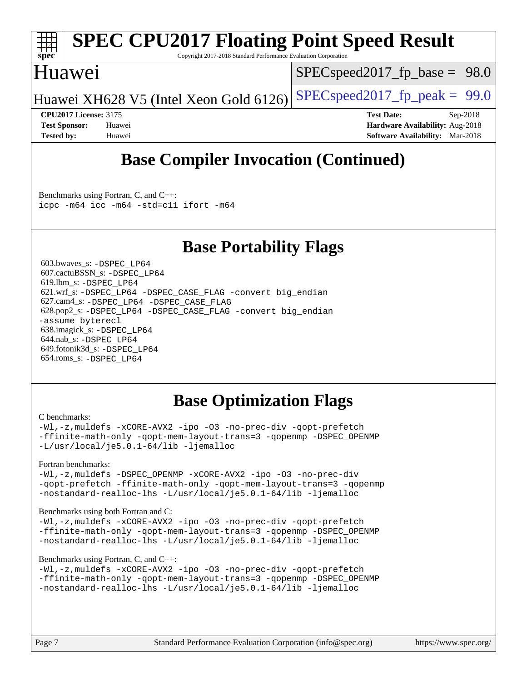

# **[SPEC CPU2017 Floating Point Speed Result](http://www.spec.org/auto/cpu2017/Docs/result-fields.html#SPECCPU2017FloatingPointSpeedResult)**

Copyright 2017-2018 Standard Performance Evaluation Corporation

### Huawei

 $SPECspeed2017_fp\_base = 98.0$ 

Huawei XH628 V5 (Intel Xeon Gold 6126) SPECspeed 2017 fp peak =  $99.0$ 

**[CPU2017 License:](http://www.spec.org/auto/cpu2017/Docs/result-fields.html#CPU2017License)** 3175 **[Test Date:](http://www.spec.org/auto/cpu2017/Docs/result-fields.html#TestDate)** Sep-2018 **[Test Sponsor:](http://www.spec.org/auto/cpu2017/Docs/result-fields.html#TestSponsor)** Huawei **[Hardware Availability:](http://www.spec.org/auto/cpu2017/Docs/result-fields.html#HardwareAvailability)** Aug-2018 **[Tested by:](http://www.spec.org/auto/cpu2017/Docs/result-fields.html#Testedby)** Huawei **[Software Availability:](http://www.spec.org/auto/cpu2017/Docs/result-fields.html#SoftwareAvailability)** Mar-2018

# **[Base Compiler Invocation \(Continued\)](http://www.spec.org/auto/cpu2017/Docs/result-fields.html#BaseCompilerInvocation)**

[Benchmarks using Fortran, C, and C++:](http://www.spec.org/auto/cpu2017/Docs/result-fields.html#BenchmarksusingFortranCandCXX) [icpc -m64](http://www.spec.org/cpu2017/results/res2018q4/cpu2017-20181025-09275.flags.html#user_CC_CXX_FCbase_intel_icpc_64bit_4ecb2543ae3f1412ef961e0650ca070fec7b7afdcd6ed48761b84423119d1bf6bdf5cad15b44d48e7256388bc77273b966e5eb805aefd121eb22e9299b2ec9d9) [icc -m64 -std=c11](http://www.spec.org/cpu2017/results/res2018q4/cpu2017-20181025-09275.flags.html#user_CC_CXX_FCbase_intel_icc_64bit_c11_33ee0cdaae7deeeab2a9725423ba97205ce30f63b9926c2519791662299b76a0318f32ddfffdc46587804de3178b4f9328c46fa7c2b0cd779d7a61945c91cd35) [ifort -m64](http://www.spec.org/cpu2017/results/res2018q4/cpu2017-20181025-09275.flags.html#user_CC_CXX_FCbase_intel_ifort_64bit_24f2bb282fbaeffd6157abe4f878425411749daecae9a33200eee2bee2fe76f3b89351d69a8130dd5949958ce389cf37ff59a95e7a40d588e8d3a57e0c3fd751)

### **[Base Portability Flags](http://www.spec.org/auto/cpu2017/Docs/result-fields.html#BasePortabilityFlags)**

 603.bwaves\_s: [-DSPEC\\_LP64](http://www.spec.org/cpu2017/results/res2018q4/cpu2017-20181025-09275.flags.html#suite_basePORTABILITY603_bwaves_s_DSPEC_LP64) 607.cactuBSSN\_s: [-DSPEC\\_LP64](http://www.spec.org/cpu2017/results/res2018q4/cpu2017-20181025-09275.flags.html#suite_basePORTABILITY607_cactuBSSN_s_DSPEC_LP64) 619.lbm\_s: [-DSPEC\\_LP64](http://www.spec.org/cpu2017/results/res2018q4/cpu2017-20181025-09275.flags.html#suite_basePORTABILITY619_lbm_s_DSPEC_LP64) 621.wrf\_s: [-DSPEC\\_LP64](http://www.spec.org/cpu2017/results/res2018q4/cpu2017-20181025-09275.flags.html#suite_basePORTABILITY621_wrf_s_DSPEC_LP64) [-DSPEC\\_CASE\\_FLAG](http://www.spec.org/cpu2017/results/res2018q4/cpu2017-20181025-09275.flags.html#b621.wrf_s_baseCPORTABILITY_DSPEC_CASE_FLAG) [-convert big\\_endian](http://www.spec.org/cpu2017/results/res2018q4/cpu2017-20181025-09275.flags.html#user_baseFPORTABILITY621_wrf_s_convert_big_endian_c3194028bc08c63ac5d04de18c48ce6d347e4e562e8892b8bdbdc0214820426deb8554edfa529a3fb25a586e65a3d812c835984020483e7e73212c4d31a38223) 627.cam4\_s: [-DSPEC\\_LP64](http://www.spec.org/cpu2017/results/res2018q4/cpu2017-20181025-09275.flags.html#suite_basePORTABILITY627_cam4_s_DSPEC_LP64) [-DSPEC\\_CASE\\_FLAG](http://www.spec.org/cpu2017/results/res2018q4/cpu2017-20181025-09275.flags.html#b627.cam4_s_baseCPORTABILITY_DSPEC_CASE_FLAG) 628.pop2\_s: [-DSPEC\\_LP64](http://www.spec.org/cpu2017/results/res2018q4/cpu2017-20181025-09275.flags.html#suite_basePORTABILITY628_pop2_s_DSPEC_LP64) [-DSPEC\\_CASE\\_FLAG](http://www.spec.org/cpu2017/results/res2018q4/cpu2017-20181025-09275.flags.html#b628.pop2_s_baseCPORTABILITY_DSPEC_CASE_FLAG) [-convert big\\_endian](http://www.spec.org/cpu2017/results/res2018q4/cpu2017-20181025-09275.flags.html#user_baseFPORTABILITY628_pop2_s_convert_big_endian_c3194028bc08c63ac5d04de18c48ce6d347e4e562e8892b8bdbdc0214820426deb8554edfa529a3fb25a586e65a3d812c835984020483e7e73212c4d31a38223) [-assume byterecl](http://www.spec.org/cpu2017/results/res2018q4/cpu2017-20181025-09275.flags.html#user_baseFPORTABILITY628_pop2_s_assume_byterecl_7e47d18b9513cf18525430bbf0f2177aa9bf368bc7a059c09b2c06a34b53bd3447c950d3f8d6c70e3faf3a05c8557d66a5798b567902e8849adc142926523472) 638.imagick\_s: [-DSPEC\\_LP64](http://www.spec.org/cpu2017/results/res2018q4/cpu2017-20181025-09275.flags.html#suite_basePORTABILITY638_imagick_s_DSPEC_LP64) 644.nab\_s: [-DSPEC\\_LP64](http://www.spec.org/cpu2017/results/res2018q4/cpu2017-20181025-09275.flags.html#suite_basePORTABILITY644_nab_s_DSPEC_LP64) 649.fotonik3d\_s: [-DSPEC\\_LP64](http://www.spec.org/cpu2017/results/res2018q4/cpu2017-20181025-09275.flags.html#suite_basePORTABILITY649_fotonik3d_s_DSPEC_LP64) 654.roms\_s: [-DSPEC\\_LP64](http://www.spec.org/cpu2017/results/res2018q4/cpu2017-20181025-09275.flags.html#suite_basePORTABILITY654_roms_s_DSPEC_LP64)

# **[Base Optimization Flags](http://www.spec.org/auto/cpu2017/Docs/result-fields.html#BaseOptimizationFlags)**

#### [C benchmarks](http://www.spec.org/auto/cpu2017/Docs/result-fields.html#Cbenchmarks):

[-Wl,-z,muldefs](http://www.spec.org/cpu2017/results/res2018q4/cpu2017-20181025-09275.flags.html#user_CCbase_link_force_multiple1_b4cbdb97b34bdee9ceefcfe54f4c8ea74255f0b02a4b23e853cdb0e18eb4525ac79b5a88067c842dd0ee6996c24547a27a4b99331201badda8798ef8a743f577) [-xCORE-AVX2](http://www.spec.org/cpu2017/results/res2018q4/cpu2017-20181025-09275.flags.html#user_CCbase_f-xCORE-AVX2) [-ipo](http://www.spec.org/cpu2017/results/res2018q4/cpu2017-20181025-09275.flags.html#user_CCbase_f-ipo) [-O3](http://www.spec.org/cpu2017/results/res2018q4/cpu2017-20181025-09275.flags.html#user_CCbase_f-O3) [-no-prec-div](http://www.spec.org/cpu2017/results/res2018q4/cpu2017-20181025-09275.flags.html#user_CCbase_f-no-prec-div) [-qopt-prefetch](http://www.spec.org/cpu2017/results/res2018q4/cpu2017-20181025-09275.flags.html#user_CCbase_f-qopt-prefetch) [-ffinite-math-only](http://www.spec.org/cpu2017/results/res2018q4/cpu2017-20181025-09275.flags.html#user_CCbase_f_finite_math_only_cb91587bd2077682c4b38af759c288ed7c732db004271a9512da14a4f8007909a5f1427ecbf1a0fb78ff2a814402c6114ac565ca162485bbcae155b5e4258871) [-qopt-mem-layout-trans=3](http://www.spec.org/cpu2017/results/res2018q4/cpu2017-20181025-09275.flags.html#user_CCbase_f-qopt-mem-layout-trans_de80db37974c74b1f0e20d883f0b675c88c3b01e9d123adea9b28688d64333345fb62bc4a798493513fdb68f60282f9a726aa07f478b2f7113531aecce732043) [-qopenmp](http://www.spec.org/cpu2017/results/res2018q4/cpu2017-20181025-09275.flags.html#user_CCbase_qopenmp_16be0c44f24f464004c6784a7acb94aca937f053568ce72f94b139a11c7c168634a55f6653758ddd83bcf7b8463e8028bb0b48b77bcddc6b78d5d95bb1df2967) [-DSPEC\\_OPENMP](http://www.spec.org/cpu2017/results/res2018q4/cpu2017-20181025-09275.flags.html#suite_CCbase_DSPEC_OPENMP) [-L/usr/local/je5.0.1-64/lib](http://www.spec.org/cpu2017/results/res2018q4/cpu2017-20181025-09275.flags.html#user_CCbase_jemalloc_link_path64_4b10a636b7bce113509b17f3bd0d6226c5fb2346b9178c2d0232c14f04ab830f976640479e5c33dc2bcbbdad86ecfb6634cbbd4418746f06f368b512fced5394) [-ljemalloc](http://www.spec.org/cpu2017/results/res2018q4/cpu2017-20181025-09275.flags.html#user_CCbase_jemalloc_link_lib_d1249b907c500fa1c0672f44f562e3d0f79738ae9e3c4a9c376d49f265a04b9c99b167ecedbf6711b3085be911c67ff61f150a17b3472be731631ba4d0471706)

#### [Fortran benchmarks](http://www.spec.org/auto/cpu2017/Docs/result-fields.html#Fortranbenchmarks):

[-Wl,-z,muldefs](http://www.spec.org/cpu2017/results/res2018q4/cpu2017-20181025-09275.flags.html#user_FCbase_link_force_multiple1_b4cbdb97b34bdee9ceefcfe54f4c8ea74255f0b02a4b23e853cdb0e18eb4525ac79b5a88067c842dd0ee6996c24547a27a4b99331201badda8798ef8a743f577) -DSPEC OPENMP [-xCORE-AVX2](http://www.spec.org/cpu2017/results/res2018q4/cpu2017-20181025-09275.flags.html#user_FCbase_f-xCORE-AVX2) [-ipo](http://www.spec.org/cpu2017/results/res2018q4/cpu2017-20181025-09275.flags.html#user_FCbase_f-ipo) [-O3](http://www.spec.org/cpu2017/results/res2018q4/cpu2017-20181025-09275.flags.html#user_FCbase_f-O3) [-no-prec-div](http://www.spec.org/cpu2017/results/res2018q4/cpu2017-20181025-09275.flags.html#user_FCbase_f-no-prec-div) [-qopt-prefetch](http://www.spec.org/cpu2017/results/res2018q4/cpu2017-20181025-09275.flags.html#user_FCbase_f-qopt-prefetch) [-ffinite-math-only](http://www.spec.org/cpu2017/results/res2018q4/cpu2017-20181025-09275.flags.html#user_FCbase_f_finite_math_only_cb91587bd2077682c4b38af759c288ed7c732db004271a9512da14a4f8007909a5f1427ecbf1a0fb78ff2a814402c6114ac565ca162485bbcae155b5e4258871) [-qopt-mem-layout-trans=3](http://www.spec.org/cpu2017/results/res2018q4/cpu2017-20181025-09275.flags.html#user_FCbase_f-qopt-mem-layout-trans_de80db37974c74b1f0e20d883f0b675c88c3b01e9d123adea9b28688d64333345fb62bc4a798493513fdb68f60282f9a726aa07f478b2f7113531aecce732043) [-qopenmp](http://www.spec.org/cpu2017/results/res2018q4/cpu2017-20181025-09275.flags.html#user_FCbase_qopenmp_16be0c44f24f464004c6784a7acb94aca937f053568ce72f94b139a11c7c168634a55f6653758ddd83bcf7b8463e8028bb0b48b77bcddc6b78d5d95bb1df2967) [-nostandard-realloc-lhs](http://www.spec.org/cpu2017/results/res2018q4/cpu2017-20181025-09275.flags.html#user_FCbase_f_2003_std_realloc_82b4557e90729c0f113870c07e44d33d6f5a304b4f63d4c15d2d0f1fab99f5daaed73bdb9275d9ae411527f28b936061aa8b9c8f2d63842963b95c9dd6426b8a) [-L/usr/local/je5.0.1-64/lib](http://www.spec.org/cpu2017/results/res2018q4/cpu2017-20181025-09275.flags.html#user_FCbase_jemalloc_link_path64_4b10a636b7bce113509b17f3bd0d6226c5fb2346b9178c2d0232c14f04ab830f976640479e5c33dc2bcbbdad86ecfb6634cbbd4418746f06f368b512fced5394) [-ljemalloc](http://www.spec.org/cpu2017/results/res2018q4/cpu2017-20181025-09275.flags.html#user_FCbase_jemalloc_link_lib_d1249b907c500fa1c0672f44f562e3d0f79738ae9e3c4a9c376d49f265a04b9c99b167ecedbf6711b3085be911c67ff61f150a17b3472be731631ba4d0471706)

#### [Benchmarks using both Fortran and C](http://www.spec.org/auto/cpu2017/Docs/result-fields.html#BenchmarksusingbothFortranandC):

[-Wl,-z,muldefs](http://www.spec.org/cpu2017/results/res2018q4/cpu2017-20181025-09275.flags.html#user_CC_FCbase_link_force_multiple1_b4cbdb97b34bdee9ceefcfe54f4c8ea74255f0b02a4b23e853cdb0e18eb4525ac79b5a88067c842dd0ee6996c24547a27a4b99331201badda8798ef8a743f577) [-xCORE-AVX2](http://www.spec.org/cpu2017/results/res2018q4/cpu2017-20181025-09275.flags.html#user_CC_FCbase_f-xCORE-AVX2) [-ipo](http://www.spec.org/cpu2017/results/res2018q4/cpu2017-20181025-09275.flags.html#user_CC_FCbase_f-ipo) [-O3](http://www.spec.org/cpu2017/results/res2018q4/cpu2017-20181025-09275.flags.html#user_CC_FCbase_f-O3) [-no-prec-div](http://www.spec.org/cpu2017/results/res2018q4/cpu2017-20181025-09275.flags.html#user_CC_FCbase_f-no-prec-div) [-qopt-prefetch](http://www.spec.org/cpu2017/results/res2018q4/cpu2017-20181025-09275.flags.html#user_CC_FCbase_f-qopt-prefetch) [-ffinite-math-only](http://www.spec.org/cpu2017/results/res2018q4/cpu2017-20181025-09275.flags.html#user_CC_FCbase_f_finite_math_only_cb91587bd2077682c4b38af759c288ed7c732db004271a9512da14a4f8007909a5f1427ecbf1a0fb78ff2a814402c6114ac565ca162485bbcae155b5e4258871) [-qopt-mem-layout-trans=3](http://www.spec.org/cpu2017/results/res2018q4/cpu2017-20181025-09275.flags.html#user_CC_FCbase_f-qopt-mem-layout-trans_de80db37974c74b1f0e20d883f0b675c88c3b01e9d123adea9b28688d64333345fb62bc4a798493513fdb68f60282f9a726aa07f478b2f7113531aecce732043) [-qopenmp](http://www.spec.org/cpu2017/results/res2018q4/cpu2017-20181025-09275.flags.html#user_CC_FCbase_qopenmp_16be0c44f24f464004c6784a7acb94aca937f053568ce72f94b139a11c7c168634a55f6653758ddd83bcf7b8463e8028bb0b48b77bcddc6b78d5d95bb1df2967) [-DSPEC\\_OPENMP](http://www.spec.org/cpu2017/results/res2018q4/cpu2017-20181025-09275.flags.html#suite_CC_FCbase_DSPEC_OPENMP) [-nostandard-realloc-lhs](http://www.spec.org/cpu2017/results/res2018q4/cpu2017-20181025-09275.flags.html#user_CC_FCbase_f_2003_std_realloc_82b4557e90729c0f113870c07e44d33d6f5a304b4f63d4c15d2d0f1fab99f5daaed73bdb9275d9ae411527f28b936061aa8b9c8f2d63842963b95c9dd6426b8a) [-L/usr/local/je5.0.1-64/lib](http://www.spec.org/cpu2017/results/res2018q4/cpu2017-20181025-09275.flags.html#user_CC_FCbase_jemalloc_link_path64_4b10a636b7bce113509b17f3bd0d6226c5fb2346b9178c2d0232c14f04ab830f976640479e5c33dc2bcbbdad86ecfb6634cbbd4418746f06f368b512fced5394) [-ljemalloc](http://www.spec.org/cpu2017/results/res2018q4/cpu2017-20181025-09275.flags.html#user_CC_FCbase_jemalloc_link_lib_d1249b907c500fa1c0672f44f562e3d0f79738ae9e3c4a9c376d49f265a04b9c99b167ecedbf6711b3085be911c67ff61f150a17b3472be731631ba4d0471706)

#### [Benchmarks using Fortran, C, and C++:](http://www.spec.org/auto/cpu2017/Docs/result-fields.html#BenchmarksusingFortranCandCXX)

```
-Wl,-z,muldefs -xCORE-AVX2 -ipo -O3 -no-prec-div -qopt-prefetch
-ffinite-math-only -qopt-mem-layout-trans=3 -qopenmp -DSPEC_OPENMP
-nostandard-realloc-lhs -L/usr/local/je5.0.1-64/lib -ljemalloc
```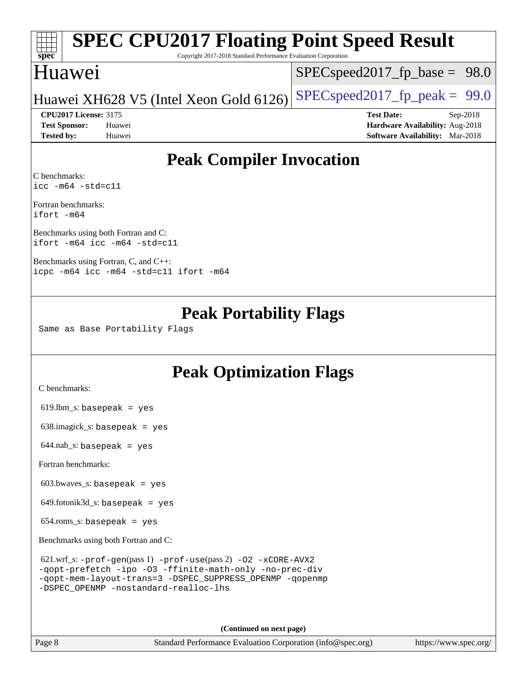### **[spec](http://www.spec.org/) [SPEC CPU2017 Floating Point Speed Result](http://www.spec.org/auto/cpu2017/Docs/result-fields.html#SPECCPU2017FloatingPointSpeedResult)** Copyright 2017-2018 Standard Performance Evaluation Corporation Huawei [SPECspeed2017\\_fp\\_base =](http://www.spec.org/auto/cpu2017/Docs/result-fields.html#SPECspeed2017fpbase) 98.0

### Huawei XH628 V5 (Intel Xeon Gold 6126) SPECspeed 2017 fp peak =  $99.0$

**[CPU2017 License:](http://www.spec.org/auto/cpu2017/Docs/result-fields.html#CPU2017License)** 3175 **[Test Date:](http://www.spec.org/auto/cpu2017/Docs/result-fields.html#TestDate)** Sep-2018 **[Test Sponsor:](http://www.spec.org/auto/cpu2017/Docs/result-fields.html#TestSponsor)** Huawei **[Hardware Availability:](http://www.spec.org/auto/cpu2017/Docs/result-fields.html#HardwareAvailability)** Aug-2018 **[Tested by:](http://www.spec.org/auto/cpu2017/Docs/result-fields.html#Testedby)** Huawei **[Software Availability:](http://www.spec.org/auto/cpu2017/Docs/result-fields.html#SoftwareAvailability)** Mar-2018

## **[Peak Compiler Invocation](http://www.spec.org/auto/cpu2017/Docs/result-fields.html#PeakCompilerInvocation)**

[C benchmarks](http://www.spec.org/auto/cpu2017/Docs/result-fields.html#Cbenchmarks): [icc -m64 -std=c11](http://www.spec.org/cpu2017/results/res2018q4/cpu2017-20181025-09275.flags.html#user_CCpeak_intel_icc_64bit_c11_33ee0cdaae7deeeab2a9725423ba97205ce30f63b9926c2519791662299b76a0318f32ddfffdc46587804de3178b4f9328c46fa7c2b0cd779d7a61945c91cd35)

[Fortran benchmarks:](http://www.spec.org/auto/cpu2017/Docs/result-fields.html#Fortranbenchmarks) [ifort -m64](http://www.spec.org/cpu2017/results/res2018q4/cpu2017-20181025-09275.flags.html#user_FCpeak_intel_ifort_64bit_24f2bb282fbaeffd6157abe4f878425411749daecae9a33200eee2bee2fe76f3b89351d69a8130dd5949958ce389cf37ff59a95e7a40d588e8d3a57e0c3fd751)

[Benchmarks using both Fortran and C](http://www.spec.org/auto/cpu2017/Docs/result-fields.html#BenchmarksusingbothFortranandC): [ifort -m64](http://www.spec.org/cpu2017/results/res2018q4/cpu2017-20181025-09275.flags.html#user_CC_FCpeak_intel_ifort_64bit_24f2bb282fbaeffd6157abe4f878425411749daecae9a33200eee2bee2fe76f3b89351d69a8130dd5949958ce389cf37ff59a95e7a40d588e8d3a57e0c3fd751) [icc -m64 -std=c11](http://www.spec.org/cpu2017/results/res2018q4/cpu2017-20181025-09275.flags.html#user_CC_FCpeak_intel_icc_64bit_c11_33ee0cdaae7deeeab2a9725423ba97205ce30f63b9926c2519791662299b76a0318f32ddfffdc46587804de3178b4f9328c46fa7c2b0cd779d7a61945c91cd35)

[Benchmarks using Fortran, C, and C++](http://www.spec.org/auto/cpu2017/Docs/result-fields.html#BenchmarksusingFortranCandCXX): [icpc -m64](http://www.spec.org/cpu2017/results/res2018q4/cpu2017-20181025-09275.flags.html#user_CC_CXX_FCpeak_intel_icpc_64bit_4ecb2543ae3f1412ef961e0650ca070fec7b7afdcd6ed48761b84423119d1bf6bdf5cad15b44d48e7256388bc77273b966e5eb805aefd121eb22e9299b2ec9d9) [icc -m64 -std=c11](http://www.spec.org/cpu2017/results/res2018q4/cpu2017-20181025-09275.flags.html#user_CC_CXX_FCpeak_intel_icc_64bit_c11_33ee0cdaae7deeeab2a9725423ba97205ce30f63b9926c2519791662299b76a0318f32ddfffdc46587804de3178b4f9328c46fa7c2b0cd779d7a61945c91cd35) [ifort -m64](http://www.spec.org/cpu2017/results/res2018q4/cpu2017-20181025-09275.flags.html#user_CC_CXX_FCpeak_intel_ifort_64bit_24f2bb282fbaeffd6157abe4f878425411749daecae9a33200eee2bee2fe76f3b89351d69a8130dd5949958ce389cf37ff59a95e7a40d588e8d3a57e0c3fd751)

### **[Peak Portability Flags](http://www.spec.org/auto/cpu2017/Docs/result-fields.html#PeakPortabilityFlags)**

Same as Base Portability Flags

## **[Peak Optimization Flags](http://www.spec.org/auto/cpu2017/Docs/result-fields.html#PeakOptimizationFlags)**

[C benchmarks](http://www.spec.org/auto/cpu2017/Docs/result-fields.html#Cbenchmarks):

 $619.$ lbm\_s: basepeak = yes

638.imagick\_s: basepeak = yes

 $644.nab_s$ : basepeak = yes

[Fortran benchmarks](http://www.spec.org/auto/cpu2017/Docs/result-fields.html#Fortranbenchmarks):

603.bwaves\_s: basepeak = yes

649.fotonik3d\_s: basepeak = yes

654.roms\_s: basepeak = yes

[Benchmarks using both Fortran and C](http://www.spec.org/auto/cpu2017/Docs/result-fields.html#BenchmarksusingbothFortranandC):

| $621.wrf$ _s: $-prof-qen(pass 1) -prof-use(pass 2) -02 -xCORE-AVX2$ |  |
|---------------------------------------------------------------------|--|
| -gopt-prefetch -ipo -03 -ffinite-math-only -no-prec-div             |  |
| -gopt-mem-layout-trans=3 -DSPEC SUPPRESS OPENMP -gopenmp            |  |
| -DSPEC OPENMP -nostandard-realloc-lhs                               |  |

**(Continued on next page)**